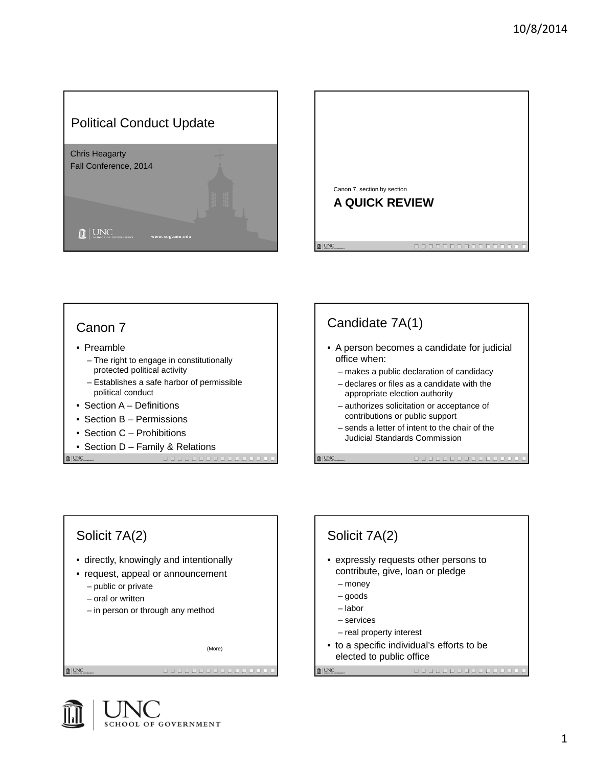









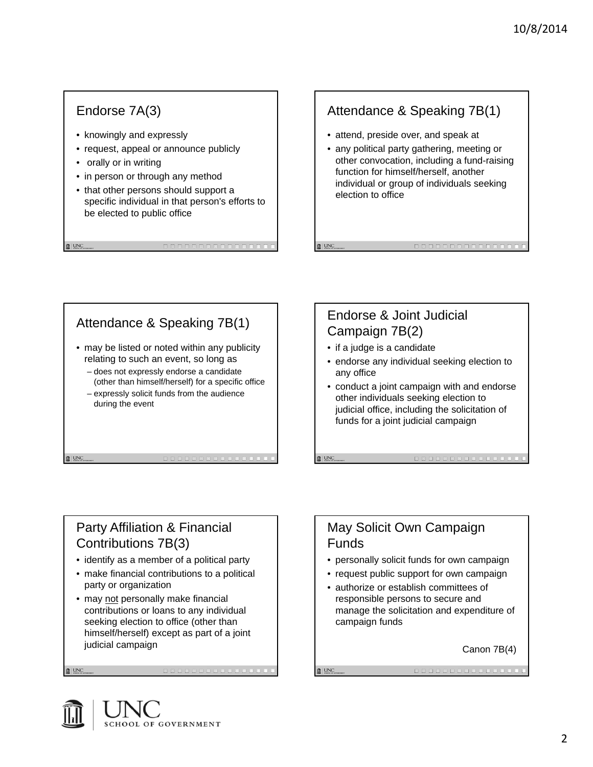#### Endorse 7A(3)

- knowingly and expressly
- request, appeal or announce publicly
- orally or in writing

 $\mathbf{R}$  UNC

 $\mathbf{R}$  UNC

 $\mathbf{R}$  | UNC

- in person or through any method
- that other persons should support a specific individual in that person's efforts to be elected to public office

### Attendance & Speaking 7B(1)

- attend, preside over, and speak at
- any political party gathering, meeting or other convocation, including a fund-raising function for himself/herself, another individual or group of individuals seeking election to office

#### Attendance & Speaking 7B(1) • may be listed or noted within any publicity relating to such an event, so long as – does not expressly endorse a candidate (other than himself/herself) for a specific office – expressly solicit funds from the audience during the event

#### Endorse & Joint Judicial Campaign 7B(2)

• if a judge is a candidate

 $\mathbf{R}$  | UNC

 $\mathbb{R}$  | UNC

- endorse any individual seeking election to any office
- conduct a joint campaign with and endorse other individuals seeking election to judicial office, including the solicitation of funds for a joint judicial campaign

#### Party Affiliation & Financial Contributions 7B(3)

- identify as a member of a political party
- make financial contributions to a political party or organization
- may not personally make financial contributions or loans to any individual seeking election to office (other than himself/herself) except as part of a joint judicial campaign

#### May Solicit Own Campaign Funds

- personally solicit funds for own campaign
- request public support for own campaign
- authorize or establish committees of responsible persons to secure and manage the solicitation and expenditure of campaign funds

Canon 7B(4)

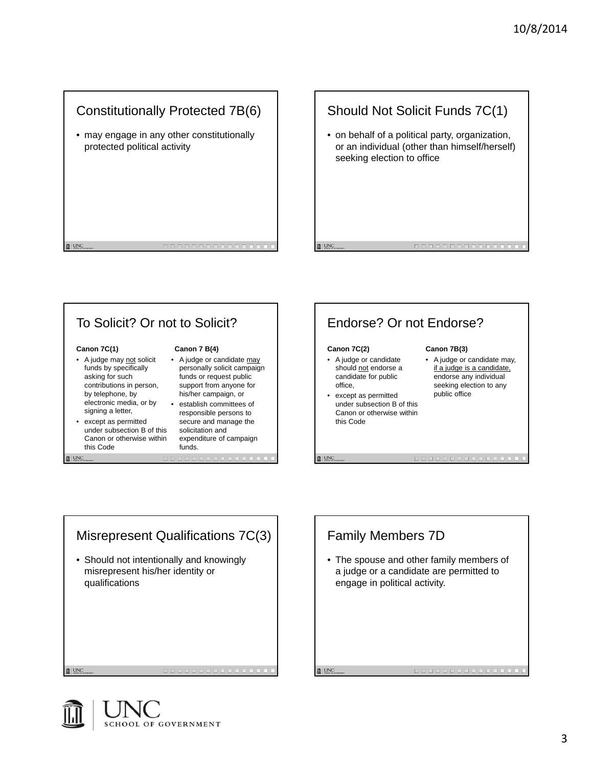#### Constitutionally Protected 7B(6)

• may engage in any other constitutionally protected political activity

#### Should Not Solicit Funds 7C(1)

• on behalf of a political party, organization, or an individual (other than himself/herself) seeking election to office

# To Solicit? Or not to Solicit?

#### **Canon 7C(1)**

 $\mathbf{R}$  UNC

 $\mathbf{0}$  | UNC

 $\mathbf{R}$  | UNC

- A judge may not solicit funds by specifically asking for such contributions in person, by telephone, by electronic media, or by signing a letter,
- except as permitted under subsection B of this Canon or otherwise within this Code

#### **Canon 7 B(4)**

- A judge or candidate may personally solicit campaign funds or request public support from anyone for his/her campaign, or
- establish committees of responsible persons to secure and manage the solicitation and expenditure of campaign funds.

## Endorse? Or not Endorse?

#### **Canon 7C(2)**

**自 UNC** 

 $\mathbf{R}$  UNC

- A judge or candidate should not endorse a candidate for public office,
- except as permitted under subsection B of this Canon or otherwise within this Code

#### **Canon 7B(3)**

• A judge or candidate may, if a judge is a candidate, endorse any individual seeking election to any public office

Misrepresent Qualifications 7C(3) • Should not intentionally and knowingly misrepresent his/her identity or qualifications

Family Members 7D • The spouse and other family members of a judge or a candidate are permitted to engage in political activity. $\mathbf{R}$  | UNC

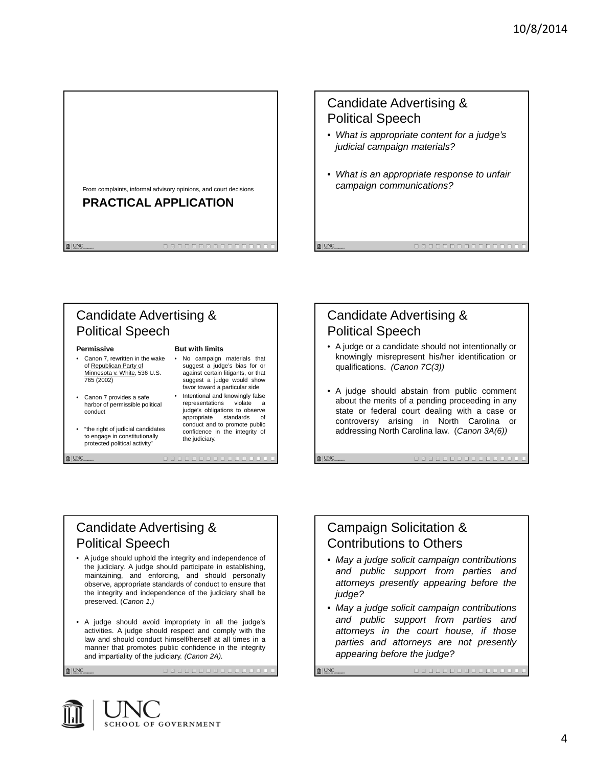

## Candidate Advertising & Political Speech

- *What is appropriate content for a judge's judicial campaign materials?*
- *What is an appropriate response to unfair campaign communications?*

## Candidate Advertising & Political Speech

#### **Permissive**

 $\mathbf{R}$  | UNC

- Canon 7, rewritten in the wake of Republican Party of Minnesota v. White, 536 U.S. 765 (2002)
- Canon 7 provides a safe harbor of permissible political conduct
- "the right of judicial candidates to engage in constitutionally protected political activity"

Political Speech

preserved. (*Canon 1.)*

#### **But with limits**

- No campaign materials that suggest a judge's bias for or against certain litigants, or that suggest a judge would show favor toward a particular side
- Intentional and knowingly false<br>representations violate a representations judge's obligations to observe appropriate standards of conduct and to promote public confidence in the integrity of the judiciary.

fil UNC

 $\mathbb{R}$  | UNC

#### Candidate Advertising & Political Speech

- A judge or a candidate should not intentionally or knowingly misrepresent his/her identification or qualifications. *(Canon 7C(3))*
- A judge should abstain from public comment about the merits of a pending proceeding in any state or federal court dealing with a case or controversy arising in North Carolina or addressing North Carolina law. (*Canon 3A(6))*

#### Campaign Solicitation & Contributions to Others

- *May a judge solicit campaign contributions and public support from parties and attorneys presently appearing before the judge?*
- *May a judge solicit campaign contributions and public support from parties and attorneys in the court house, if those parties and attorneys are not presently appearing before the judge?*

 $\mathbb{R}$  | UNC

SCHOOL OF GOVERNMENT

and impartiality of the judiciary. *(Canon 2A).*

Candidate Advertising &

• A judge should uphold the integrity and independence of the judiciary. A judge should participate in establishing, maintaining, and enforcing, and should personally observe, appropriate standards of conduct to ensure that the integrity and independence of the judiciary shall be

• A judge should avoid impropriety in all the judge's activities. A judge should respect and comply with the law and should conduct himself/herself at all times in a manner that promotes public confidence in the integrity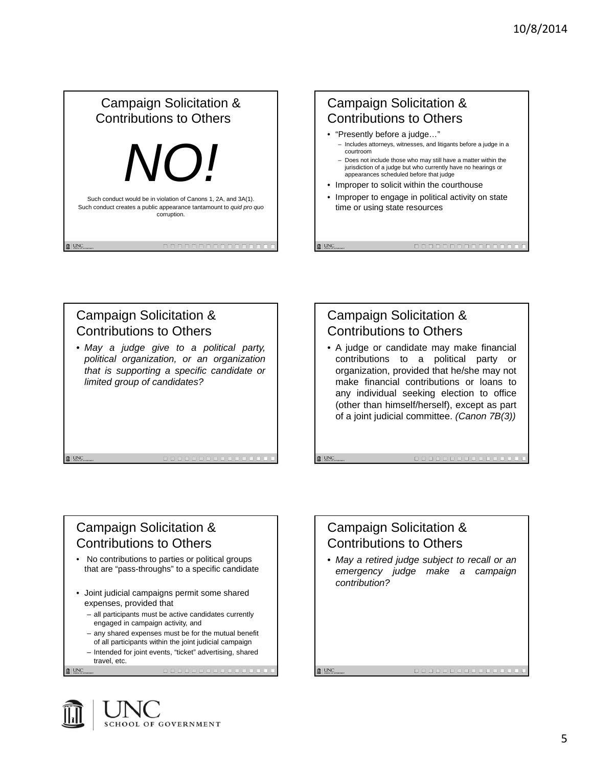# Campaign Solicitation & Contributions to Others *NO!* Such conduct would be in violation of Canons 1, 2A, and 3A(1). Such conduct creates a public appearance tantamount to *quid pro quo* corruption. **自 UNC**

#### Campaign Solicitation & Contributions to Others • "Presently before a judge…" – Includes attorneys, witnesses, and litigants before a judge in a courtroom

- Does not include those who may still have a matter within the jurisdiction of a judge but who currently have no hearings or appearances scheduled before that judge
- Improper to solicit within the courthouse
- Improper to engage in political activity on state time or using state resources

### Campaign Solicitation & Contributions to Others • *May a judge give to a political party, political organization, or an organization*

*that is supporting a specific candidate or limited group of candidates?*

## Campaign Solicitation & Contributions to Others

**n** UNC

 $\mathbf{R}$  | UNC

• A judge or candidate may make financial contributions to a political party or organization, provided that he/she may not make financial contributions or loans to any individual seeking election to office (other than himself/herself), except as part of a joint judicial committee. *(Canon 7B(3))*

#### Campaign Solicitation & Contributions to Others

- No contributions to parties or political groups that are "pass-throughs" to a specific candidate
- Joint judicial campaigns permit some shared expenses, provided that
	- all participants must be active candidates currently engaged in campaign activity, and
	- any shared expenses must be for the mutual benefit
	- of all participants within the joint judicial campaign – Intended for joint events, "ticket" advertising, shared travel, etc.

 $\mathbf{R}$  | UNC

 $\mathbf{R}$  | UNC



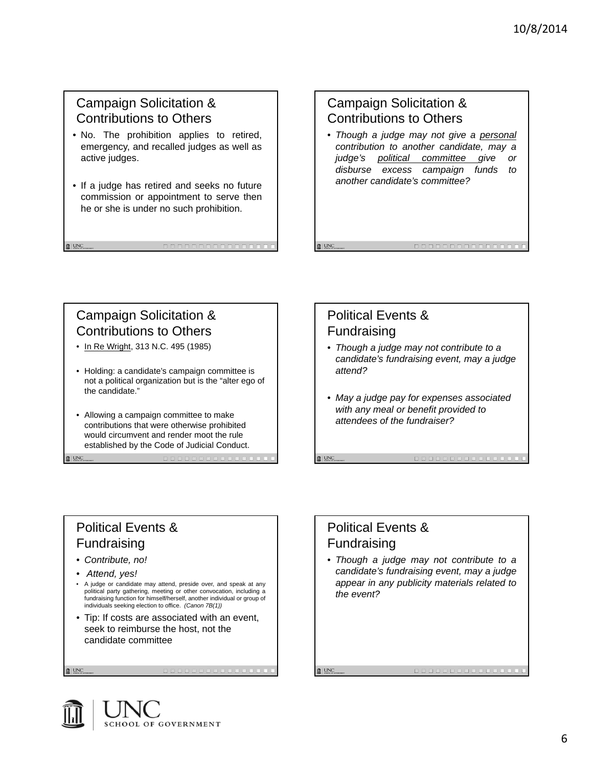#### Campaign Solicitation & Contributions to Others

- No. The prohibition applies to retired, emergency, and recalled judges as well as active judges.
- If a judge has retired and seeks no future commission or appointment to serve then he or she is under no such prohibition.

#### Campaign Solicitation & Contributions to Others

• *Though a judge may not give a personal contribution to another candidate, may a judge's political committee give or disburse excess campaign funds to another candidate's committee?*

## Campaign Solicitation & Contributions to Others

 $\mathbf{R}$  UNC

 $\mathbf{R}$  UNC

 $\mathbb{R}$  | UNC

- In Re Wright, 313 N.C. 495 (1985)
- Holding: a candidate's campaign committee is not a political organization but is the "alter ego of the candidate."
- Allowing a campaign committee to make contributions that were otherwise prohibited would circumvent and render moot the rule established by the Code of Judicial Conduct.

#### Political Events & Fundraising

**■ UNC** 

 $\mathbf{R}$  UNC

 $\mathbb{R}$  | UNC

- *Though a judge may not contribute to a candidate's fundraising event, may a judge attend?*
- *May a judge pay for expenses associated with any meal or benefit provided to attendees of the fundraiser?*

### Political Events & Fundraising

- *Contribute, no!*
- *Attend, yes!*
- A judge or candidate may attend, preside over, and speak at any political party gathering, meeting or other convocation, including a fundraising function for himself/herself, another individual or group of individuals seeking election to office. *(Canon 7B(1))*
- Tip: If costs are associated with an event, seek to reimburse the host, not the candidate committee



• *Though a judge may not contribute to a candidate's fundraising event, may a judge appear in any publicity materials related to the event?*

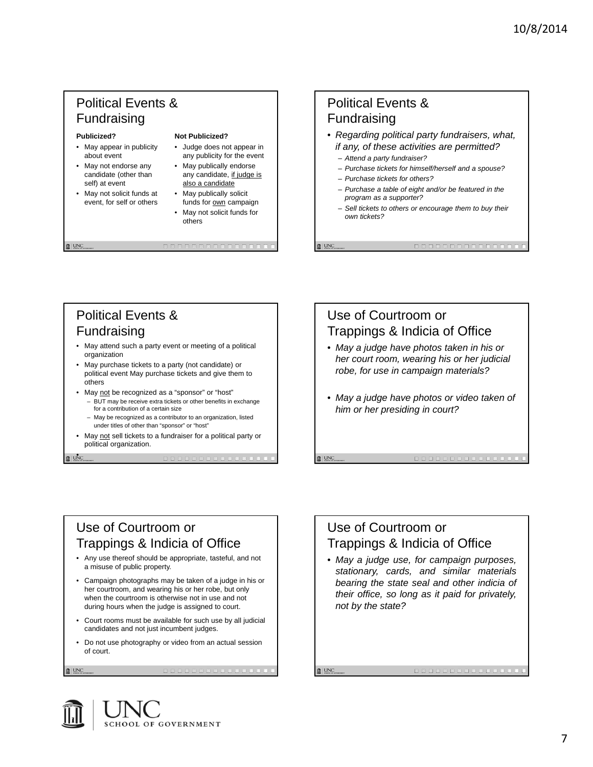## Political Events & Fundraising

#### **Publicized?**

- May appear in publicity about event
- May not endorse any candidate (other than self) at event
- May not solicit funds at event, for self or others

#### **Not Publicized?**

- Judge does not appear in any publicity for the event
- May publically endorse any candidate, if judge is also a candidate
- May publically solicit funds for **own** campaign
- May not solicit funds for others

#### Political Events & Fundraising • *Regarding political party fundraisers, what, if any, of these activities are permitted?*  – *Attend a party fundraiser?* – *Purchase tickets for himself/herself and a spouse?*

– *Purchase tickets for others?*

**n** UNC

**Q** UNC

 $\mathbf{\hat{u}}$  | UNC  $\qquad$ 

- *Purchase a table of eight and/or be featured in the program as a supporter?*
- *Sell tickets to others or encourage them to buy their own tickets?*

## Political Events & Fundraising

- May attend such a party event or meeting of a political organization
- May purchase tickets to a party (not candidate) or political event May purchase tickets and give them to others
- May not be recognized as a "sponsor" or "host"
	- BUT may be receive extra tickets or other benefits in exchange for a contribution of a certain size
	- May be recognized as a contributor to an organization, listed under titles of other than "sponsor" or "host"
- May not sell tickets to a fundraiser for a political party or political organization.

#### Use of Courtroom or Trappings & Indicia of Office • *May a judge have photos taken in his or her court room, wearing his or her judicial robe, for use in campaign materials?*  • *May a judge have photos or video taken of him or her presiding in court?*

#### Use of Courtroom or Trappings & Indicia of Office

- Any use thereof should be appropriate, tasteful, and not a misuse of public property.
- Campaign photographs may be taken of a judge in his or her courtroom, and wearing his or her robe, but only when the courtroom is otherwise not in use and not during hours when the judge is assigned to court.
- Court rooms must be available for such use by all judicial candidates and not just incumbent judges.
- Do not use photography or video from an actual session of court.

 $\mathbf{\hat{u}}$  | UNC

 $\mathbf{m}$  | UNC

**自 UNC** 

Use of Courtroom or Trappings & Indicia of Office • *May a judge use, for campaign purposes,*

*stationary, cards, and similar materials bearing the state seal and other indicia of their office, so long as it paid for privately, not by the state?*

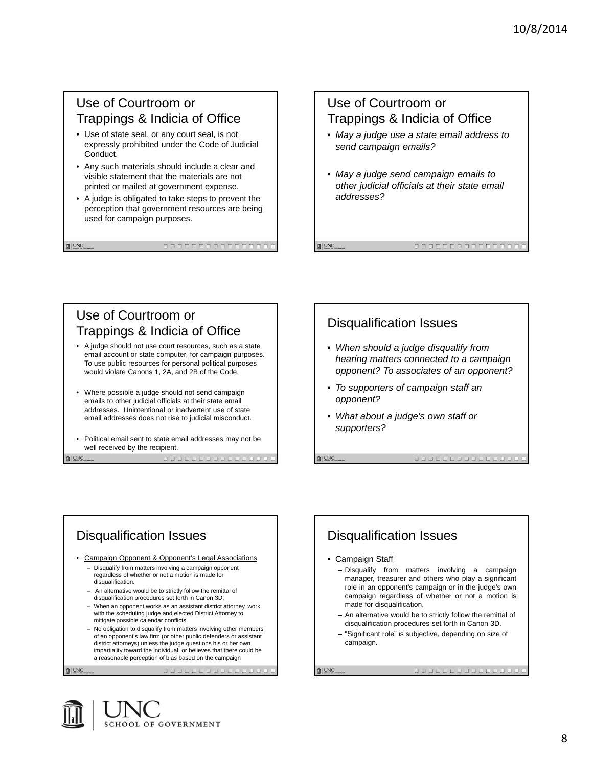#### Use of Courtroom or Trappings & Indicia of Office

- Use of state seal, or any court seal, is not expressly prohibited under the Code of Judicial Conduct.
- Any such materials should include a clear and visible statement that the materials are not printed or mailed at government expense.
- A judge is obligated to take steps to prevent the perception that government resources are being used for campaign purposes.

## Use of Courtroom or Trappings & Indicia of Office

- *May a judge use a state email address to send campaign emails?*
- *May a judge send campaign emails to other judicial officials at their state email addresses?*

## Use of Courtroom or Trappings & Indicia of Office

- A judge should not use court resources, such as a state email account or state computer, for campaign purposes. To use public resources for personal political purposes would violate Canons 1, 2A, and 2B of the Code.
- Where possible a judge should not send campaign emails to other judicial officials at their state email addresses. Unintentional or inadvertent use of state email addresses does not rise to judicial misconduct.
- Political email sent to state email addresses may not be well received by the recipient.

**自 UNC** 

## Disqualification Issues

- *When should a judge disqualify from hearing matters connected to a campaign opponent? To associates of an opponent?*
- *To supporters of campaign staff an opponent?*
- *What about a judge's own staff or supporters?*

**n** UNC

#### Disqualification Issues

- Campaign Opponent & Opponent's Legal Associations
	- Disqualify from matters involving a campaign opponent regardless of whether or not a motion is made for disqualification.
	- An alternative would be to strictly follow the remittal of
	- disqualification procedures set forth in Canon 3D. – When an opponent works as an assistant district attorney, work with the scheduling judge and elected District Attorney to
	- mitigate possible calendar conflicts – No obligation to disqualify from matters involving other members of an opponent's law firm (or other public defenders or assistant district attorneys) unless the judge questions his or her own impartiality toward the individual, or believes that there could be a reasonable perception of bias based on the campaign

 $\mathbb{R}$  | UNC